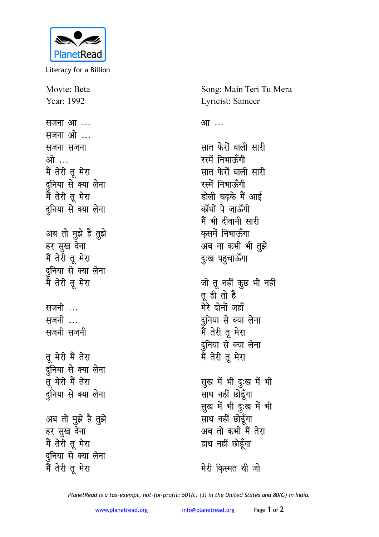

Literacy for a Billion

Movie: Beta Year: 1992 सजना आ ... सजना ओ ... सजना सजना ओ … मैं तेरी तू मेरा दुनिया से क्या लेना मैं तेरी तू मेरा दुनिया से क्या लेना अब तो मुझे है तुझे हर सुख देना मैं तेरी तू मेरा दुनिया से क्या लेना मैं तेरी तू मेरा सजनी ... सजनी … सजनी सजनी तू मेरी मैं तेरा दुनिया से क्या लेना तू मेरी मैं तेरा दुनिया से क्या लेना अब तो मुझे है तुझे हर सुख देना मैं तेरी तू मेरा दुनिया से क्या लेना मैं तेरी तू मेरा

Song: Main Teri Tu Mera Lyricist: Sameer आ … सात फेरों वाली सारी रस्में निभाऊँगी सात फेरों वाली सारी रस्में निभाऊँगी डोली चढके मैं आई काँधों पे जाऊँगी मैं भी दीवानी सारी कसमें निभाऊँगा अब ना कभी भी तुझे दुःख पहुचाऊँगा जो तू नहीं कुछ भी नहीं तू ही तो है मेरे दोनों जहाँ दुनिया से क्या लेना मैं तेरी तू मेरा दुनिया से क्या लेना<br>मैं तेरी तू मेरा सुख में भी दुःख में भी साथ नहीं छोडूँगा सुख में भी दुःख में भी साथ नहीं छोड़ँगा अब तो कभी मैं तेरा हाथ नहीं छो<mark>ड</mark>़ॅगा

मेरी किस्मत थी जो

PlanetRead is a tax-exempt, not-for-profit: 501(c) (3) in the United States and 80(G) in India.